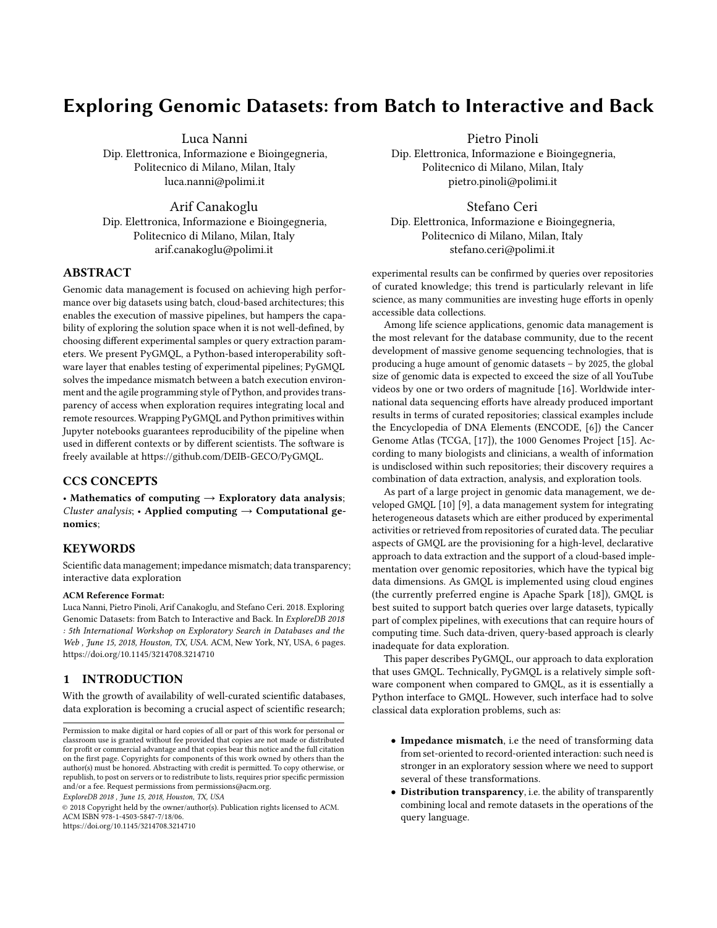# Exploring Genomic Datasets: from Batch to Interactive and Back

Luca Nanni

Dip. Elettronica, Informazione e Bioingegneria, Politecnico di Milano, Milan, Italy luca.nanni@polimi.it

Arif Canakoglu Dip. Elettronica, Informazione e Bioingegneria, Politecnico di Milano, Milan, Italy arif.canakoglu@polimi.it

## ABSTRACT

Genomic data management is focused on achieving high performance over big datasets using batch, cloud-based architectures; this enables the execution of massive pipelines, but hampers the capability of exploring the solution space when it is not well-defined, by choosing different experimental samples or query extraction parameters. We present PyGMQL, a Python-based interoperability software layer that enables testing of experimental pipelines; PyGMQL solves the impedance mismatch between a batch execution environment and the agile programming style of Python, and provides transparency of access when exploration requires integrating local and remote resources. Wrapping PyGMQL and Python primitives within Jupyter notebooks guarantees reproducibility of the pipeline when used in different contexts or by different scientists. The software is freely available at [https://github.com/DEIB-GECO/PyGMQL.](https://github.com/DEIB-GECO/PyGMQL)

# CCS CONCEPTS

• Mathematics of computing  $\rightarrow$  Exploratory data analysis; Cluster analysis; • Applied computing  $\rightarrow$  Computational genomics;

### **KEYWORDS**

Scientific data management; impedance mismatch; data transparency; interactive data exploration

### ACM Reference Format:

Luca Nanni, Pietro Pinoli, Arif Canakoglu, and Stefano Ceri. 2018. Exploring Genomic Datasets: from Batch to Interactive and Back. In ExploreDB 2018 : 5th International Workshop on Exploratory Search in Databases and the Web, June 15, 2018, Houston, TX, USA. ACM, New York, NY, USA, [6](#page-5-0) pages. <https://doi.org/10.1145/3214708.3214710>

# 1 INTRODUCTION

With the growth of availability of well-curated scientific databases, data exploration is becoming a crucial aspect of scientific research;

ExploreDB 2018 , June 15, 2018, Houston, TX, USA

© 2018 Copyright held by the owner/author(s). Publication rights licensed to ACM. ACM ISBN 978-1-4503-5847-7/18/06. <https://doi.org/10.1145/3214708.3214710>

Pietro Pinoli

Dip. Elettronica, Informazione e Bioingegneria, Politecnico di Milano, Milan, Italy pietro.pinoli@polimi.it

# Stefano Ceri

Dip. Elettronica, Informazione e Bioingegneria, Politecnico di Milano, Milan, Italy stefano.ceri@polimi.it

experimental results can be confirmed by queries over repositories of curated knowledge; this trend is particularly relevant in life science, as many communities are investing huge efforts in openly accessible data collections.

Among life science applications, genomic data management is the most relevant for the database community, due to the recent development of massive genome sequencing technologies, that is producing a huge amount of genomic datasets – by 2025, the global size of genomic data is expected to exceed the size of all YouTube videos by one or two orders of magnitude [\[16\]](#page-5-1). Worldwide international data sequencing efforts have already produced important results in terms of curated repositories; classical examples include the Encyclopedia of DNA Elements (ENCODE, [\[6\]](#page-5-2)) the Cancer Genome Atlas (TCGA, [\[17\]](#page-5-3)), the 1000 Genomes Project [\[15\]](#page-5-4). According to many biologists and clinicians, a wealth of information is undisclosed within such repositories; their discovery requires a combination of data extraction, analysis, and exploration tools.

As part of a large project in genomic data management, we developed GMQL [\[10\]](#page-5-5) [\[9\]](#page-5-6), a data management system for integrating heterogeneous datasets which are either produced by experimental activities or retrieved from repositories of curated data. The peculiar aspects of GMQL are the provisioning for a high-level, declarative approach to data extraction and the support of a cloud-based implementation over genomic repositories, which have the typical big data dimensions. As GMQL is implemented using cloud engines (the currently preferred engine is Apache Spark [\[18\]](#page-5-7)), GMQL is best suited to support batch queries over large datasets, typically part of complex pipelines, with executions that can require hours of computing time. Such data-driven, query-based approach is clearly inadequate for data exploration.

This paper describes PyGMQL, our approach to data exploration that uses GMQL. Technically, PyGMQL is a relatively simple software component when compared to GMQL, as it is essentially a Python interface to GMQL. However, such interface had to solve classical data exploration problems, such as:

- Impedance mismatch, i.e the need of transforming data from set-oriented to record-oriented interaction: such need is stronger in an exploratory session where we need to support several of these transformations.
- Distribution transparency, i.e. the ability of transparently combining local and remote datasets in the operations of the query language.

Permission to make digital or hard copies of all or part of this work for personal or classroom use is granted without fee provided that copies are not made or distributed for profit or commercial advantage and that copies bear this notice and the full citation on the first page. Copyrights for components of this work owned by others than the author(s) must be honored. Abstracting with credit is permitted. To copy otherwise, or republish, to post on servers or to redistribute to lists, requires prior specific permission and/or a fee. Request permissions from permissions@acm.org.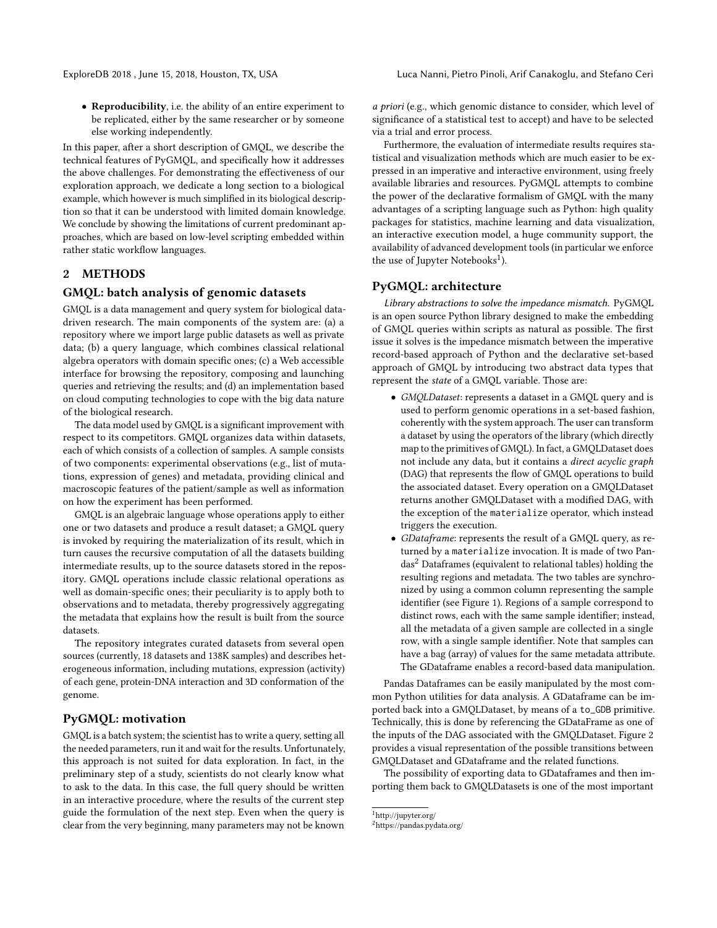• Reproducibility, i.e. the ability of an entire experiment to be replicated, either by the same researcher or by someone else working independently.

In this paper, after a short description of GMQL, we describe the technical features of PyGMQL, and specifically how it addresses the above challenges. For demonstrating the effectiveness of our exploration approach, we dedicate a long section to a biological example, which however is much simplified in its biological description so that it can be understood with limited domain knowledge. We conclude by showing the limitations of current predominant approaches, which are based on low-level scripting embedded within rather static workflow languages.

### 2 METHODS

### GMQL: batch analysis of genomic datasets

GMQL is a data management and query system for biological datadriven research. The main components of the system are: (a) a repository where we import large public datasets as well as private data; (b) a query language, which combines classical relational algebra operators with domain specific ones; (c) a Web accessible interface for browsing the repository, composing and launching queries and retrieving the results; and (d) an implementation based on cloud computing technologies to cope with the big data nature of the biological research.

The data model used by GMQL is a significant improvement with respect to its competitors. GMQL organizes data within datasets, each of which consists of a collection of samples. A sample consists of two components: experimental observations (e.g., list of mutations, expression of genes) and metadata, providing clinical and macroscopic features of the patient/sample as well as information on how the experiment has been performed.

GMQL is an algebraic language whose operations apply to either one or two datasets and produce a result dataset; a GMQL query is invoked by requiring the materialization of its result, which in turn causes the recursive computation of all the datasets building intermediate results, up to the source datasets stored in the repository. GMQL operations include classic relational operations as well as domain-specific ones; their peculiarity is to apply both to observations and to metadata, thereby progressively aggregating the metadata that explains how the result is built from the source datasets.

The repository integrates curated datasets from several open sources (currently, 18 datasets and 138K samples) and describes heterogeneous information, including mutations, expression (activity) of each gene, protein-DNA interaction and 3D conformation of the genome.

### PyGMQL: motivation

GMQL is a batch system; the scientist has to write a query, setting all the needed parameters, run it and wait for the results. Unfortunately, this approach is not suited for data exploration. In fact, in the preliminary step of a study, scientists do not clearly know what to ask to the data. In this case, the full query should be written in an interactive procedure, where the results of the current step guide the formulation of the next step. Even when the query is clear from the very beginning, many parameters may not be known

a priori (e.g., which genomic distance to consider, which level of significance of a statistical test to accept) and have to be selected via a trial and error process.

Furthermore, the evaluation of intermediate results requires statistical and visualization methods which are much easier to be expressed in an imperative and interactive environment, using freely available libraries and resources. PyGMQL attempts to combine the power of the declarative formalism of GMQL with the many advantages of a scripting language such as Python: high quality packages for statistics, machine learning and data visualization, an interactive execution model, a huge community support, the availability of advanced development tools (in particular we enforce the use of Jupyter Notebooks<sup>[1](#page-1-0)</sup>).

### PyGMQL: architecture

Library abstractions to solve the impedance mismatch. PyGMQL is an open source Python library designed to make the embedding of GMQL queries within scripts as natural as possible. The first issue it solves is the impedance mismatch between the imperative record-based approach of Python and the declarative set-based approach of GMQL by introducing two abstract data types that represent the state of a GMQL variable. Those are:

- GMQLDataset: represents a dataset in a GMQL query and is used to perform genomic operations in a set-based fashion, coherently with the system approach. The user can transform a dataset by using the operators of the library (which directly map to the primitives of GMQL). In fact, a GMQLDataset does not include any data, but it contains a direct acyclic graph (DAG) that represents the flow of GMQL operations to build the associated dataset. Every operation on a GMQLDataset returns another GMQLDataset with a modified DAG, with the exception of the materialize operator, which instead triggers the execution.
- GDataframe: represents the result of a GMQL query, as returned by a materialize invocation. It is made of two Pandas[2](#page-1-1) Dataframes (equivalent to relational tables) holding the resulting regions and metadata. The two tables are synchronized by using a common column representing the sample identifier (see Figure [1\)](#page-2-0). Regions of a sample correspond to distinct rows, each with the same sample identifier; instead, all the metadata of a given sample are collected in a single row, with a single sample identifier. Note that samples can have a bag (array) of values for the same metadata attribute. The GDataframe enables a record-based data manipulation.

Pandas Dataframes can be easily manipulated by the most common Python utilities for data analysis. A GDataframe can be imported back into a GMQLDataset, by means of a to\_GDB primitive. Technically, this is done by referencing the GDataFrame as one of the inputs of the DAG associated with the GMQLDataset. Figure [2](#page-2-1) provides a visual representation of the possible transitions between GMQLDataset and GDataframe and the related functions.

The possibility of exporting data to GDataframes and then importing them back to GMQLDatasets is one of the most important

<span id="page-1-0"></span> $^1$ http://jupyter.org/

<span id="page-1-1"></span><sup>2</sup>https://pandas.pydata.org/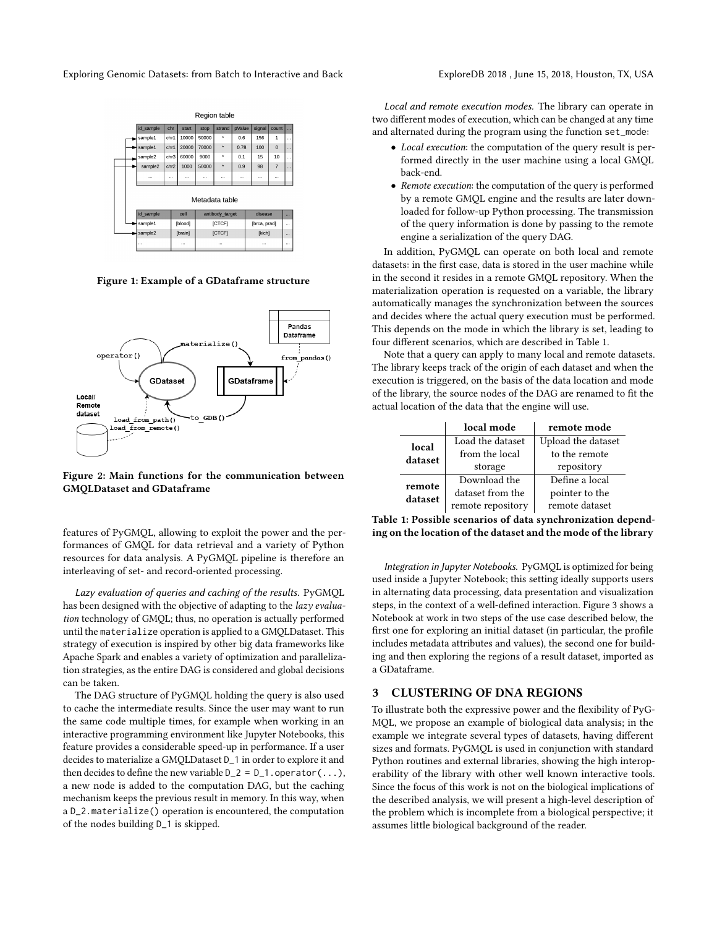<span id="page-2-0"></span>Exploring Genomic Datasets: from Batch to Interactive and Back ExploreDB 2018 , June 15, 2018, Houston, TX, USA



Figure 1: Example of a GDataframe structure

<span id="page-2-1"></span>

Figure 2: Main functions for the communication between GMQLDataset and GDataframe

features of PyGMQL, allowing to exploit the power and the performances of GMQL for data retrieval and a variety of Python resources for data analysis. A PyGMQL pipeline is therefore an interleaving of set- and record-oriented processing.

Lazy evaluation of queries and caching of the results. PyGMQL has been designed with the objective of adapting to the lazy evaluation technology of GMQL; thus, no operation is actually performed until the materialize operation is applied to a GMQLDataset. This strategy of execution is inspired by other big data frameworks like Apache Spark and enables a variety of optimization and parallelization strategies, as the entire DAG is considered and global decisions can be taken.

The DAG structure of PyGMQL holding the query is also used to cache the intermediate results. Since the user may want to run the same code multiple times, for example when working in an interactive programming environment like Jupyter Notebooks, this feature provides a considerable speed-up in performance. If a user decides to materialize a GMQLDataset D\_1 in order to explore it and then decides to define the new variable  $D_2 = D_1$ . operator(...), a new node is added to the computation DAG, but the caching mechanism keeps the previous result in memory. In this way, when a D\_2.materialize() operation is encountered, the computation of the nodes building D\_1 is skipped.

Local and remote execution modes. The library can operate in two different modes of execution, which can be changed at any time and alternated during the program using the function set\_mode:

- Local execution: the computation of the query result is performed directly in the user machine using a local GMQL back-end.
- Remote execution: the computation of the query is performed by a remote GMQL engine and the results are later downloaded for follow-up Python processing. The transmission of the query information is done by passing to the remote engine a serialization of the query DAG.

In addition, PyGMQL can operate on both local and remote datasets: in the first case, data is stored in the user machine while in the second it resides in a remote GMQL repository. When the materialization operation is requested on a variable, the library automatically manages the synchronization between the sources and decides where the actual query execution must be performed. This depends on the mode in which the library is set, leading to four different scenarios, which are described in Table [1.](#page-2-2)

Note that a query can apply to many local and remote datasets. The library keeps track of the origin of each dataset and when the execution is triggered, on the basis of the data location and mode of the library, the source nodes of the DAG are renamed to fit the actual location of the data that the engine will use.

<span id="page-2-2"></span>

|         | local mode        | remote mode        |  |  |
|---------|-------------------|--------------------|--|--|
| local   | Load the dataset  | Upload the dataset |  |  |
| dataset | from the local    | to the remote      |  |  |
|         | storage           | repository         |  |  |
| remote  | Download the      | Define a local     |  |  |
| dataset | dataset from the  | pointer to the     |  |  |
|         | remote repository | remote dataset     |  |  |

Table 1: Possible scenarios of data synchronization depending on the location of the dataset and the mode of the library

Integration in Jupyter Notebooks. PyGMQL is optimized for being used inside a Jupyter Notebook; this setting ideally supports users in alternating data processing, data presentation and visualization steps, in the context of a well-defined interaction. Figure [3](#page-3-0) shows a Notebook at work in two steps of the use case described below, the first one for exploring an initial dataset (in particular, the profile includes metadata attributes and values), the second one for building and then exploring the regions of a result dataset, imported as a GDataframe.

### 3 CLUSTERING OF DNA REGIONS

To illustrate both the expressive power and the flexibility of PyG-MQL, we propose an example of biological data analysis; in the example we integrate several types of datasets, having different sizes and formats. PyGMQL is used in conjunction with standard Python routines and external libraries, showing the high interoperability of the library with other well known interactive tools. Since the focus of this work is not on the biological implications of the described analysis, we will present a high-level description of the problem which is incomplete from a biological perspective; it assumes little biological background of the reader.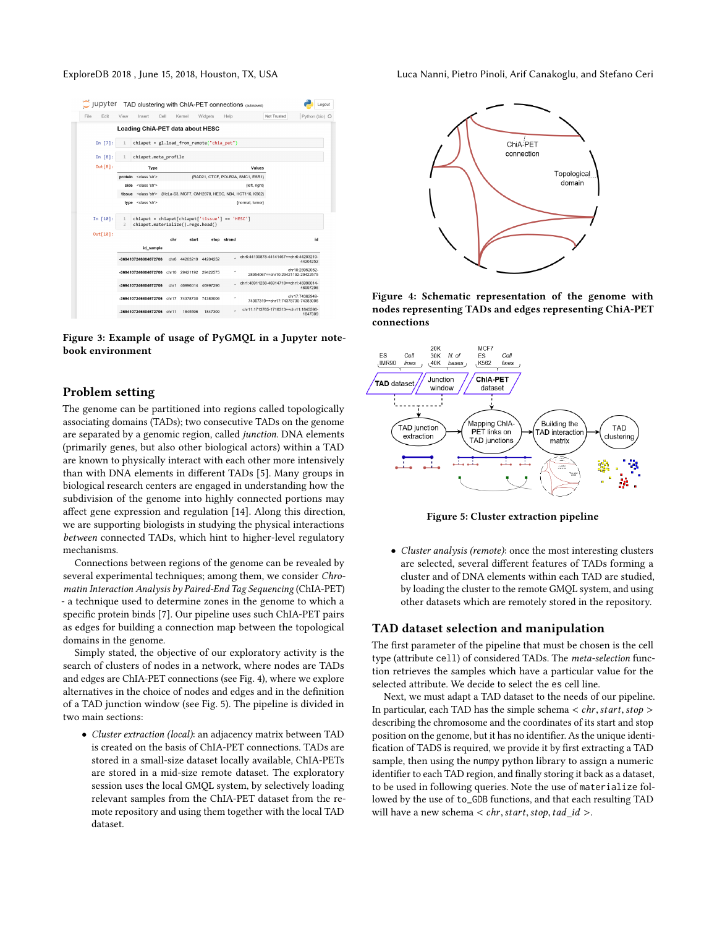<span id="page-3-0"></span>

| Edit<br>File | View                                                                                                       | Insert                   | Cell | Kernel                 | Widgets  | Help        |                                                   | Not Trusted | Python (bio) C                                       |
|--------------|------------------------------------------------------------------------------------------------------------|--------------------------|------|------------------------|----------|-------------|---------------------------------------------------|-------------|------------------------------------------------------|
|              | <b>Loading ChiA-PET data about HESC</b>                                                                    |                          |      |                        |          |             |                                                   |             |                                                      |
| In $[7]$ :   | $chiapet = gl.load from remote("chia pet")$<br>$\mathbf{1}$                                                |                          |      |                        |          |             |                                                   |             |                                                      |
| In $[8]$ :   | chiapet.meta profile                                                                                       |                          |      |                        |          |             |                                                   |             |                                                      |
| $Out[8]$ :   |                                                                                                            | Type                     |      |                        |          |             | Values                                            |             |                                                      |
|              | protein <class 'str'=""></class>                                                                           |                          |      |                        |          |             | (RAD21, CTCF, POLR2A, SMC1, ESR1)                 |             |                                                      |
|              | side                                                                                                       | <class 'str'=""></class> |      |                        |          |             | (left, right)                                     |             |                                                      |
|              | tissue                                                                                                     | <class 'str=""></class>  |      |                        |          |             | (HeLa-S3, MCF7, GM12878, HESC, NB4, HCT116, K562) |             |                                                      |
|              | type                                                                                                       | <class 'str'=""></class> |      |                        |          |             | {normal, tumor}                                   |             |                                                      |
| In [10]:     | chiapet = chiapet[chiapet['tissue'] == 'HESC']<br>1<br>chiapet.materialize().regs.head()<br>$\overline{2}$ |                          |      |                        |          |             |                                                   |             |                                                      |
|              |                                                                                                            |                          |      |                        |          |             |                                                   |             |                                                      |
| Out[10]:     |                                                                                                            |                          | chr  | start                  |          | stop strand |                                                   |             | ld                                                   |
|              |                                                                                                            | id sample                |      |                        |          |             |                                                   |             |                                                      |
|              | -3694107246804672706                                                                                       |                          |      | chr6 44203219 44204252 |          |             |                                                   |             | chr6:44139878-44141467==chr6:44203219-<br>44204252   |
|              | -3694107246804672706 chr10 29421192                                                                        |                          |      |                        | 29422575 | ٠           |                                                   |             | chr10:28952052-<br>28954067==chr10:29421192-29422575 |
|              | -3694107246804672706                                                                                       |                          | chr1 | 46996014               | 46997296 |             |                                                   |             | chr1:46911238-46914718==chr1:46996014-<br>46997296   |
|              | -3694107246804672706 chr17 74378730                                                                        |                          |      |                        | 74383006 | ٠           |                                                   |             | chr17:74362949-<br>74367319==chr17:74378730-74383006 |

Figure 3: Example of usage of PyGMQL in a Jupyter notebook environment

### Problem setting

The genome can be partitioned into regions called topologically associating domains (TADs); two consecutive TADs on the genome are separated by a genomic region, called junction. DNA elements (primarily genes, but also other biological actors) within a TAD are known to physically interact with each other more intensively than with DNA elements in different TADs [\[5\]](#page-5-8). Many groups in biological research centers are engaged in understanding how the subdivision of the genome into highly connected portions may affect gene expression and regulation [\[14\]](#page-5-9). Along this direction, we are supporting biologists in studying the physical interactions between connected TADs, which hint to higher-level regulatory mechanisms.

Connections between regions of the genome can be revealed by several experimental techniques; among them, we consider Chromatin Interaction Analysis by Paired-End Tag Sequencing (ChIA-PET) - a technique used to determine zones in the genome to which a specific protein binds [\[7\]](#page-5-10). Our pipeline uses such ChIA-PET pairs as edges for building a connection map between the topological domains in the genome.

Simply stated, the objective of our exploratory activity is the search of clusters of nodes in a network, where nodes are TADs and edges are ChIA-PET connections (see Fig. [4\)](#page-3-1), where we explore alternatives in the choice of nodes and edges and in the definition of a TAD junction window (see Fig. [5\)](#page-3-2). The pipeline is divided in two main sections:

• Cluster extraction (local): an adjacency matrix between TAD is created on the basis of ChIA-PET connections. TADs are stored in a small-size dataset locally available, ChIA-PETs are stored in a mid-size remote dataset. The exploratory session uses the local GMQL system, by selectively loading relevant samples from the ChIA-PET dataset from the remote repository and using them together with the local TAD dataset.

ExploreDB 2018 , June 15, 2018, Houston, TX, USA Luca Nanni, Pietro Pinoli, Arif Canakoglu, and Stefano Ceri

<span id="page-3-1"></span>

Figure 4: Schematic representation of the genome with nodes representing TADs and edges representing ChiA-PET connections

<span id="page-3-2"></span>

Figure 5: Cluster extraction pipeline

• Cluster analysis (remote): once the most interesting clusters are selected, several different features of TADs forming a cluster and of DNA elements within each TAD are studied, by loading the cluster to the remote GMQL system, and using other datasets which are remotely stored in the repository.

### TAD dataset selection and manipulation

The first parameter of the pipeline that must be chosen is the cell type (attribute cell) of considered TADs. The meta-selection function retrieves the samples which have a particular value for the selected attribute. We decide to select the es cell line.

Next, we must adapt a TAD dataset to the needs of our pipeline. In particular, each TAD has the simple schema  $\langle chr, start, stop \rangle$ describing the chromosome and the coordinates of its start and stop position on the genome, but it has no identifier. As the unique identification of TADS is required, we provide it by first extracting a TAD sample, then using the numpy python library to assign a numeric identifier to each TAD region, and finally storing it back as a dataset, to be used in following queries. Note the use of materialize followed by the use of to\_GDB functions, and that each resulting TAD will have a new schema  $\langle chr, start, stop, tad_id \rangle$ .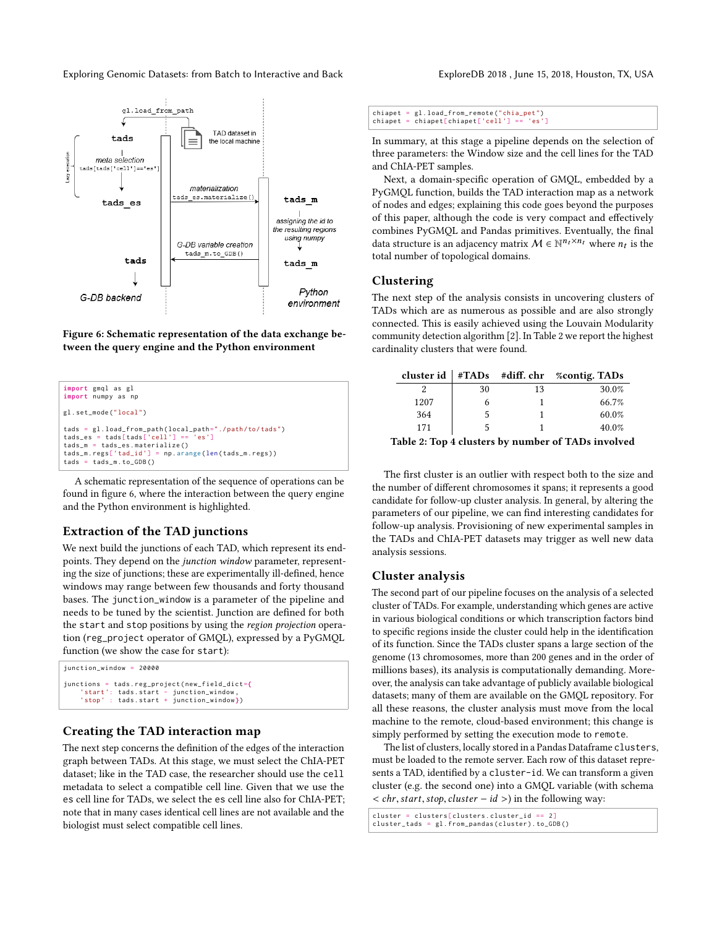Exploring Genomic Datasets: from Batch to Interactive and Back ExploreDB 2018 , June 15, 2018, Houston, TX, USA

<span id="page-4-0"></span>

Figure 6: Schematic representation of the data exchange between the query engine and the Python environment

```
import gmql as gl
import numpy as np
gl . set_mode (" local ")
tads = gl . load_from_path ( local_path =" ./ path / to / tads ")
tads es = tads [ tads [ 'cell'] = 'es' ]tads_m = tads_es . materialize ()
                                  = np. arange (len(tads_m.regs))
\begin{bmatrix} \text{tads}_m.\text{regs} [\text{tad}_id'] \\ \text{tads} = \text{tads}_m.\text{to_GDB} \end{bmatrix}
```
A schematic representation of the sequence of operations can be found in figure [6,](#page-4-0) where the interaction between the query engine and the Python environment is highlighted.

### Extraction of the TAD junctions

We next build the junctions of each TAD, which represent its endpoints. They depend on the junction window parameter, representing the size of junctions; these are experimentally ill-defined, hence windows may range between few thousands and forty thousand bases. The junction\_window is a parameter of the pipeline and needs to be tuned by the scientist. Junction are defined for both the start and stop positions by using the region projection operation (reg\_project operator of GMQL), expressed by a PyGMQL function (we show the case for start):

```
junction_window = 20000
junctions = tads . reg_project ( new_field_dict ={
       'start ': tads . start - junction_window ,
'stop ' : tads . start + junction_window })
```
### Creating the TAD interaction map

The next step concerns the definition of the edges of the interaction graph between TADs. At this stage, we must select the ChIA-PET dataset; like in the TAD case, the researcher should use the cell metadata to select a compatible cell line. Given that we use the es cell line for TADs, we select the es cell line also for ChIA-PET; note that in many cases identical cell lines are not available and the biologist must select compatible cell lines.

chiapet = gl . load\_from\_remote (" chia\_pet ") chiapet = chiapet[chiapet['cell'] == 'es']

In summary, at this stage a pipeline depends on the selection of three parameters: the Window size and the cell lines for the TAD and ChIA-PET samples.

Next, a domain-specific operation of GMQL, embedded by a PyGMQL function, builds the TAD interaction map as a network of nodes and edges; explaining this code goes beyond the purposes of this paper, although the code is very compact and effectively combines PyGMQL and Pandas primitives. Eventually, the final data structure is an adjacency matrix  $M \in \mathbb{N}^{n_t \times n_t}$  where  $n_t$  is the total number of topological domains total number of topological domains.

### Clustering

The next step of the analysis consists in uncovering clusters of TADs which are as numerous as possible and are also strongly connected. This is easily achieved using the Louvain Modularity community detection algorithm [\[2\]](#page-5-11). In Table [2](#page-4-1) we report the highest cardinality clusters that were found.

<span id="page-4-1"></span>

| cluster id |    |    | #TADs #diff.chr %contig.TADs |
|------------|----|----|------------------------------|
|            | 30 | 13 | 30.0%                        |
| 1207       | h  |    | 66.7%                        |
| 364        | 5  |    | 60.0%                        |
| 171        | 5  |    | 40.0%                        |

Table 2: Top 4 clusters by number of TADs involved

The first cluster is an outlier with respect both to the size and the number of different chromosomes it spans; it represents a good candidate for follow-up cluster analysis. In general, by altering the parameters of our pipeline, we can find interesting candidates for follow-up analysis. Provisioning of new experimental samples in the TADs and ChIA-PET datasets may trigger as well new data analysis sessions.

### Cluster analysis

The second part of our pipeline focuses on the analysis of a selected cluster of TADs. For example, understanding which genes are active in various biological conditions or which transcription factors bind to specific regions inside the cluster could help in the identification of its function. Since the TADs cluster spans a large section of the genome (13 chromosomes, more than 200 genes and in the order of millions bases), its analysis is computationally demanding. Moreover, the analysis can take advantage of publicly available biological datasets; many of them are available on the GMQL repository. For all these reasons, the cluster analysis must move from the local machine to the remote, cloud-based environment; this change is simply performed by setting the execution mode to remote.

The list of clusters, locally stored in a Pandas Dataframe clusters, must be loaded to the remote server. Each row of this dataset represents a TAD, identified by a cluster-id. We can transform a given cluster (e.g. the second one) into a GMQL variable (with schema  $\langle$  chr, start, stop, cluster – id >) in the following way:

cluster = clusters[clusters.cluster\_id == 2] cluster\_tads = gl . from\_pandas ( cluster ) . to\_GDB ()